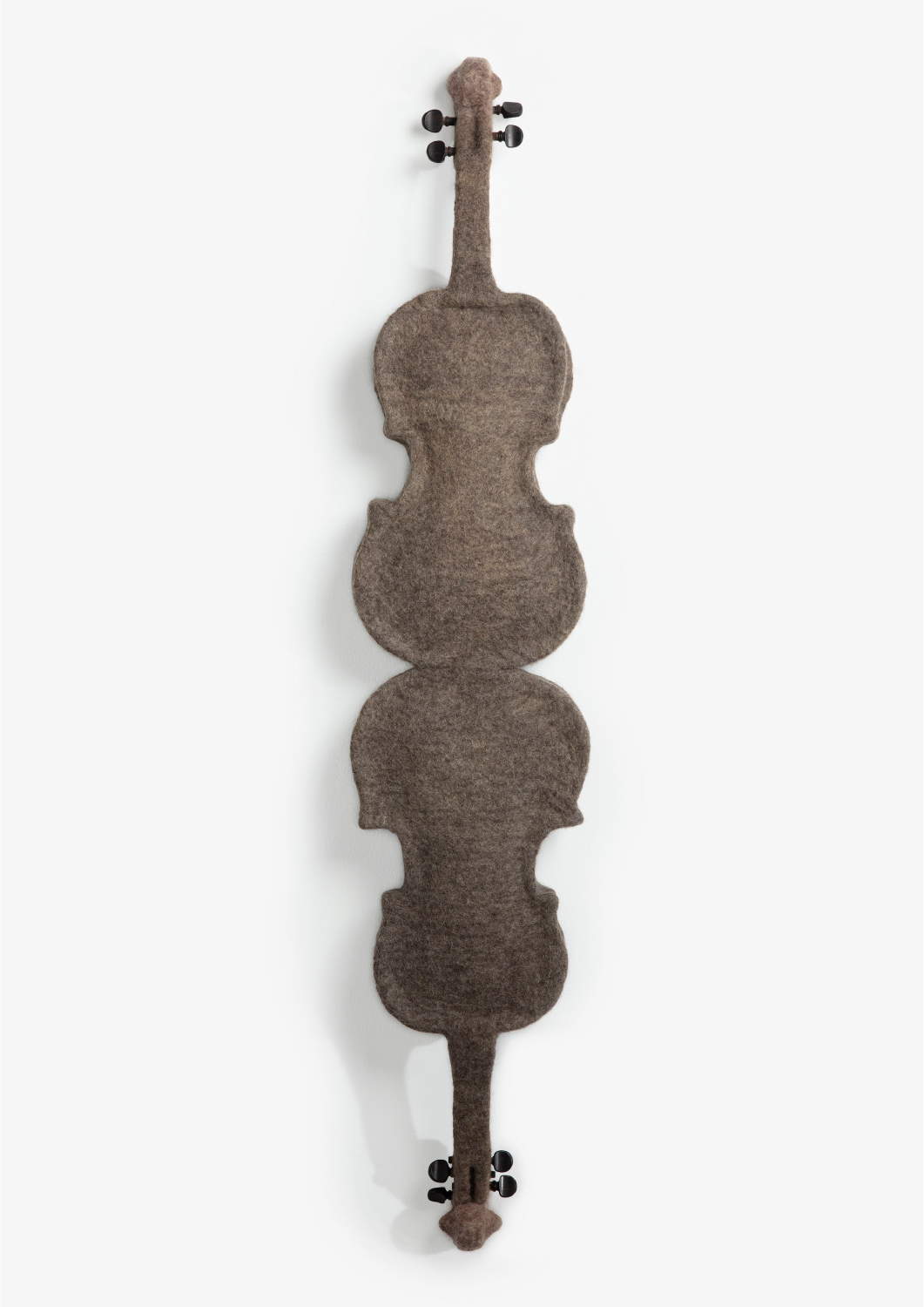